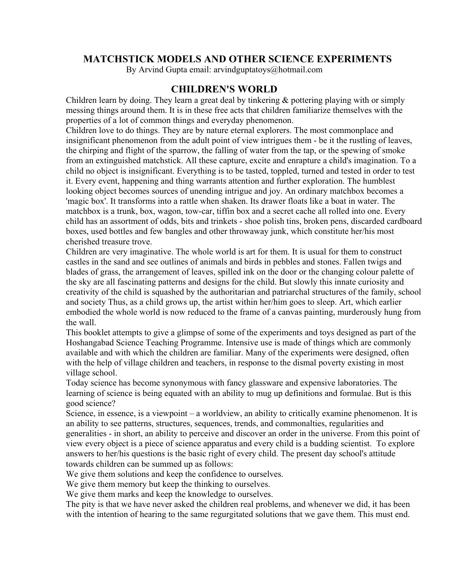# **MATCHSTICK MODELS AND OTHER SCIENCE EXPERIMENTS**

By Arvind Gupta email: arvindguptatoys@hotmail.com

# **CHILDREN'S WORLD**

Children learn by doing. They learn a great deal by tinkering  $\&$  pottering playing with or simply messing things around them. It is in these free acts that children familiarize themselves with the properties of a lot of common things and everyday phenomenon.

Children love to do things. They are by nature eternal explorers. The most commonplace and insignificant phenomenon from the adult point of view intrigues them - be it the rustling of leaves, the chirping and flight of the sparrow, the falling of water from the tap, or the spewing of smoke from an extinguished matchstick. All these capture, excite and enrapture a child's imagination. To a child no object is insignificant. Everything is to be tasted, toppled, turned and tested in order to test it. Every event, happening and thing warrants attention and further exploration. The humblest looking object becomes sources of unending intrigue and joy. An ordinary matchbox becomes a 'magic box'. It transforms into a rattle when shaken. Its drawer floats like a boat in water. The matchbox is a trunk, box, wagon, tow-car, tiffin box and a secret cache all rolled into one. Every child has an assortment of odds, bits and trinkets - shoe polish tins, broken pens, discarded cardboard boxes, used bottles and few bangles and other throwaway junk, which constitute her/his most cherished treasure trove.

Children are very imaginative. The whole world is art for them. It is usual for them to construct castles in the sand and see outlines of animals and birds in pebbles and stones. Fallen twigs and blades of grass, the arrangement of leaves, spilled ink on the door or the changing colour palette of the sky are all fascinating patterns and designs for the child. But slowly this innate curiosity and creativity of the child is squashed by the authoritarian and patriarchal structures of the family, school and society Thus, as a child grows up, the artist within her/him goes to sleep. Art, which earlier embodied the whole world is now reduced to the frame of a canvas painting, murderously hung from the wall.

This booklet attempts to give a glimpse of some of the experiments and toys designed as part of the Hoshangabad Science Teaching Programme. Intensive use is made of things which are commonly available and with which the children are familiar. Many of the experiments were designed, often with the help of village children and teachers, in response to the dismal poverty existing in most village school.

Today science has become synonymous with fancy glassware and expensive laboratories. The learning of science is being equated with an ability to mug up definitions and formulae. But is this good science?

Science, in essence, is a viewpoint – a worldview, an ability to critically examine phenomenon. It is an ability to see patterns, structures, sequences, trends, and commonalties, regularities and generalities - in short, an ability to perceive and discover an order in the universe. From this point of view every object is a piece of science apparatus and every child is a budding scientist. To explore answers to her/his questions is the basic right of every child. The present day school's attitude towards children can be summed up as follows:

We give them solutions and keep the confidence to ourselves.

We give them memory but keep the thinking to ourselves.

We give them marks and keep the knowledge to ourselves.

The pity is that we have never asked the children real problems, and whenever we did, it has been with the intention of hearing to the same regurgitated solutions that we gave them. This must end.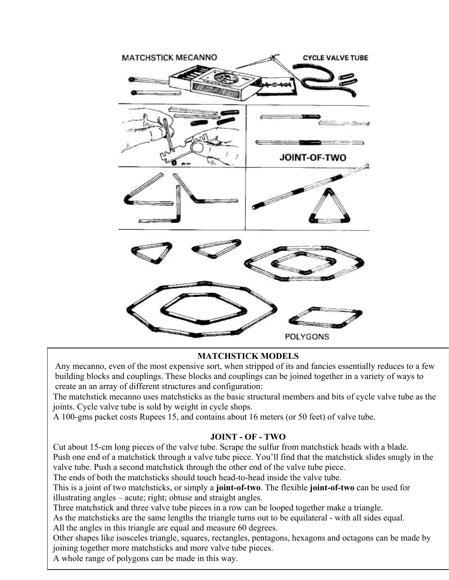

## **MATCHSTICK MODELS**

Any mecanno, even of the most expensive sort, when stripped of its and fancies essentially reduces to a few building blocks and couplings. These blocks and couplings can be joined together in a variety of ways to create an an array of different structures and configuration:

The matchstick mecanno uses matchsticks as the basic structural members and bits of cycle valve tube as the joints. Cycle valve tube is sold by weight in cycle shops.

A 100-gms packet costs Rupees 15, and contains about 16 meters (or 50 feet) of valve tube.

## **JOINT - OF - TWO**

Cut about 15-cm long pieces of the valve tube. Scrape the sulfur from matchstick heads with a blade. Push one end of a matchstick through a valve tube piece. You'll find that the matchstick slides snugly in the valve tube. Push a second matchstick through the other end of the valve tube piece.

The ends of both the matchsticks should touch head-to-head inside the valve tube.

This is a joint of two matchsticks, or simply a **joint-of-two**. The flexible **joint-of-two** can be used for illustrating angles – acute; right; obtuse and straight angles.

Three matchstick and three valve tube pieces in a row can be looped together make a triangle.

As the matchsticks are the same lengths the triangle turns out to be equilateral - with all sides equal.

All the angles in this triangle are equal and measure 60 degrees.

Other shapes like isosceles triangle, squares, rectangles, pentagons, hexagons and octagons can be made by joining together more matchsticks and more valve tube pieces.

A whole range of polygons can be made in this way.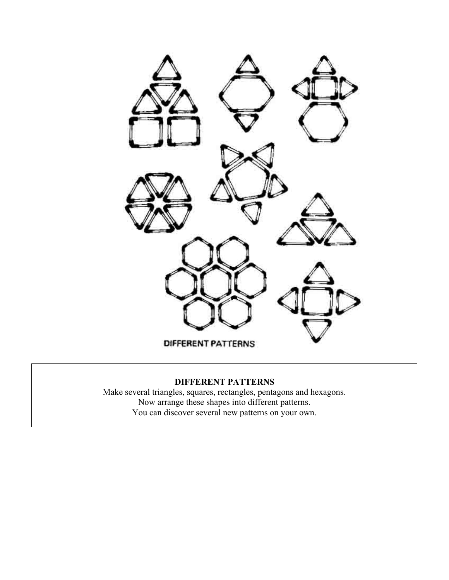

# **DIFFERENT PATTERNS**

Make several triangles, squares, rectangles, pentagons and hexagons. Now arrange these shapes into different patterns. You can discover several new patterns on your own.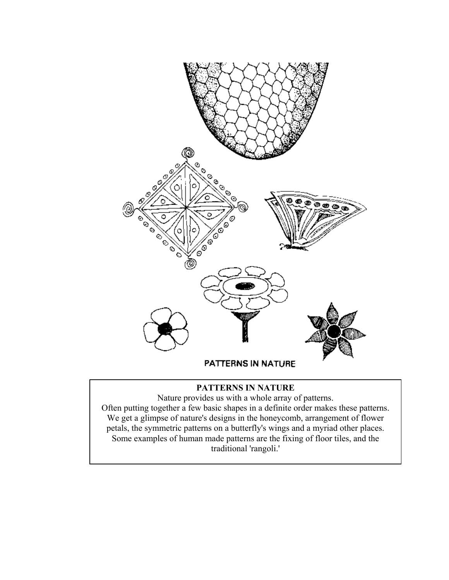

# **PATTERNS IN NATURE**

Nature provides us with a whole array of patterns. Often putting together a few basic shapes in a definite order makes these patterns. We get a glimpse of nature's designs in the honeycomb, arrangement of flower petals, the symmetric patterns on a butterfly's wings and a myriad other places. Some examples of human made patterns are the fixing of floor tiles, and the traditional 'rangoli.'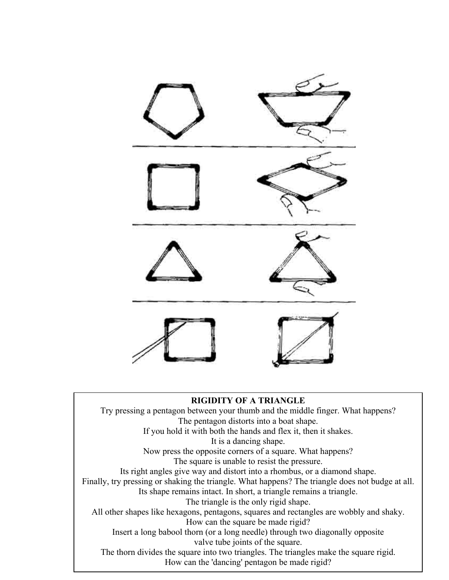

#### **RIGIDITY OF A TRIANGLE**

Try pressing a pentagon between your thumb and the middle finger. What happens? The pentagon distorts into a boat shape. If you hold it with both the hands and flex it, then it shakes. It is a dancing shape. Now press the opposite corners of a square. What happens? The square is unable to resist the pressure. Its right angles give way and distort into a rhombus, or a diamond shape. Finally, try pressing or shaking the triangle. What happens? The triangle does not budge at all. Its shape remains intact. In short, a triangle remains a triangle. The triangle is the only rigid shape. All other shapes like hexagons, pentagons, squares and rectangles are wobbly and shaky. How can the square be made rigid? Insert a long babool thorn (or a long needle) through two diagonally opposite valve tube joints of the square. The thorn divides the square into two triangles. The triangles make the square rigid. How can the 'dancing' pentagon be made rigid?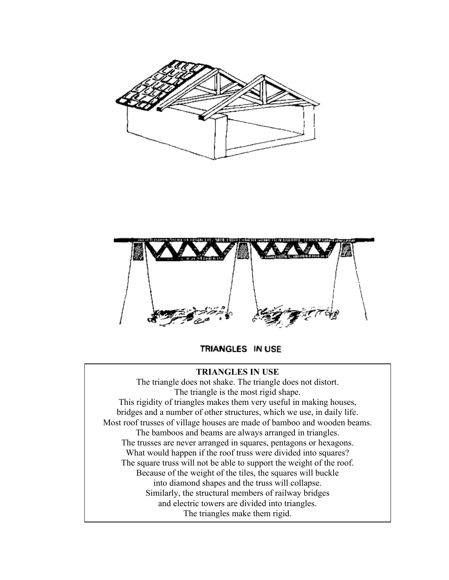



TRIANGLES IN USE

## **TRIANGLES IN USE**

The triangle does not shake. The triangle does not distort. The triangle is the most rigid shape. This rigidity of triangles makes them very useful in making houses, bridges and a number of other structures, which we use, in daily life. Most roof trusses of village houses are made of bamboo and wooden beams. The bamboos and beams are always arranged in triangles. The trusses are never arranged in squares, pentagons or hexagons. What would happen if the roof truss were divided into squares? The square truss will not be able to support the weight of the roof. Because of the weight of the tiles, the squares will buckle into diamond shapes and the truss will collapse. Similarly, the structural members of railway bridges and electric towers are divided into triangles. The triangles make them rigid.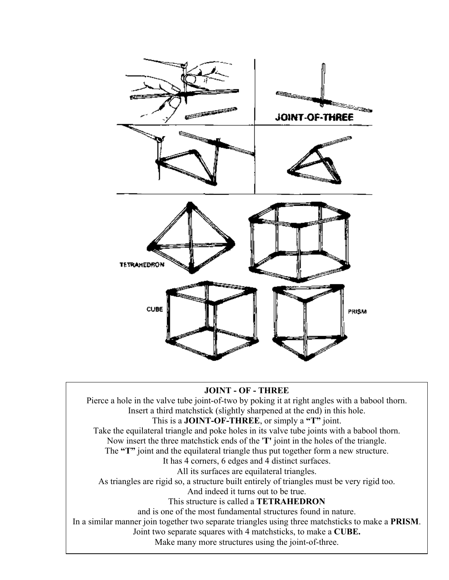

#### **JOINT - OF - THREE**

Pierce a hole in the valve tube joint-of-two by poking it at right angles with a babool thorn. Insert a third matchstick (slightly sharpened at the end) in this hole. This is a **JOINT-OF-THREE**, or simply a **"T"** joint. Take the equilateral triangle and poke holes in its valve tube joints with a babool thorn. Now insert the three matchstick ends of the '**T'** joint in the holes of the triangle. The **"T"** joint and the equilateral triangle thus put together form a new structure. It has 4 corners, 6 edges and 4 distinct surfaces. All its surfaces are equilateral triangles. As triangles are rigid so, a structure built entirely of triangles must be very rigid too. And indeed it turns out to be true. This structure is called a **TETRAHEDRON** and is one of the most fundamental structures found in nature. In a similar manner join together two separate triangles using three matchsticks to make a **PRISM**. Joint two separate squares with 4 matchsticks, to make a **CUBE.**

Make many more structures using the joint-of-three.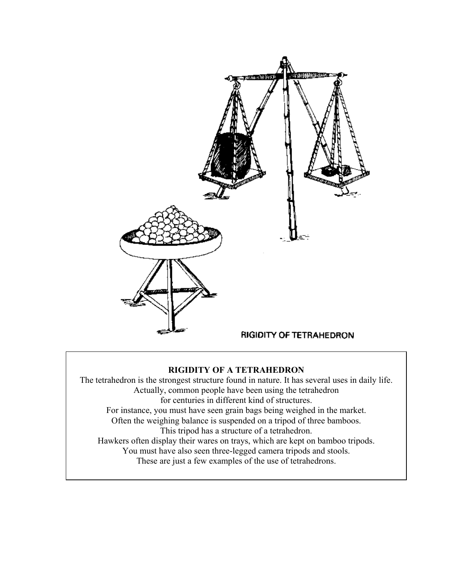

## **RIGIDITY OF A TETRAHEDRON**

The tetrahedron is the strongest structure found in nature. It has several uses in daily life. Actually, common people have been using the tetrahedron for centuries in different kind of structures. For instance, you must have seen grain bags being weighed in the market. Often the weighing balance is suspended on a tripod of three bamboos. This tripod has a structure of a tetrahedron. Hawkers often display their wares on trays, which are kept on bamboo tripods. You must have also seen three-legged camera tripods and stools. These are just a few examples of the use of tetrahedrons.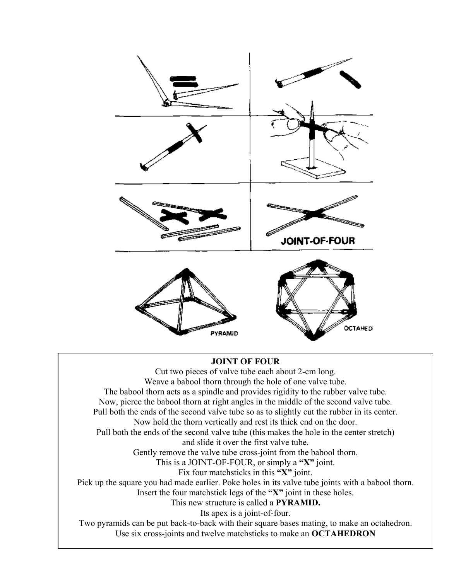

## **JOINT OF FOUR**

Cut two pieces of valve tube each about 2-cm long. Weave a babool thorn through the hole of one valve tube. The babool thorn acts as a spindle and provides rigidity to the rubber valve tube. Now, pierce the babool thorn at right angles in the middle of the second valve tube. Pull both the ends of the second valve tube so as to slightly cut the rubber in its center. Now hold the thorn vertically and rest its thick end on the door. Pull both the ends of the second valve tube (this makes the hole in the center stretch) and slide it over the first valve tube. Gently remove the valve tube cross-joint from the babool thorn. This is a JOINT-OF-FOUR, or simply a **"X"** joint. Fix four matchsticks in this **"X"** joint. Pick up the square you had made earlier. Poke holes in its valve tube joints with a babool thorn. Insert the four matchstick legs of the **"X"** joint in these holes. This new structure is called a **PYRAMID.** Its apex is a joint-of-four. Two pyramids can be put back-to-back with their square bases mating, to make an octahedron. Use six cross-joints and twelve matchsticks to make an **OCTAHEDRON**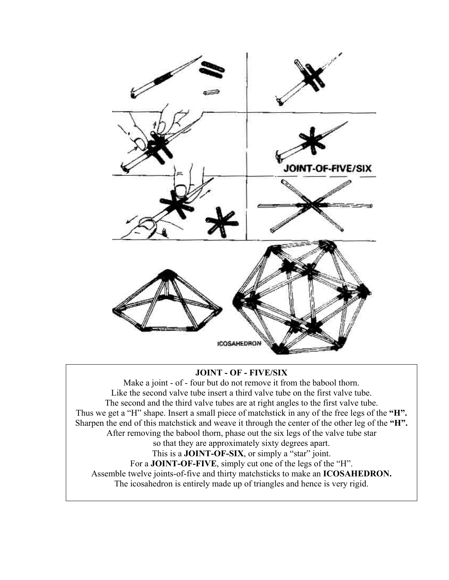

## **JOINT - OF - FIVE/SIX**

Make a joint - of - four but do not remove it from the babool thorn. Like the second valve tube insert a third valve tube on the first valve tube. The second and the third valve tubes are at right angles to the first valve tube. Thus we get a "H" shape. Insert a small piece of matchstick in any of the free legs of the **"H".** Sharpen the end of this matchstick and weave it through the center of the other leg of the **"H".** After removing the babool thorn, phase out the six legs of the valve tube star so that they are approximately sixty degrees apart. This is a **JOINT-OF-SIX**, or simply a "star" joint. For a **JOINT-OF-FIVE**, simply cut one of the legs of the "H". Assemble twelve joints-of-five and thirty matchsticks to make an **ICOSAHEDRON.** The icosahedron is entirely made up of triangles and hence is very rigid.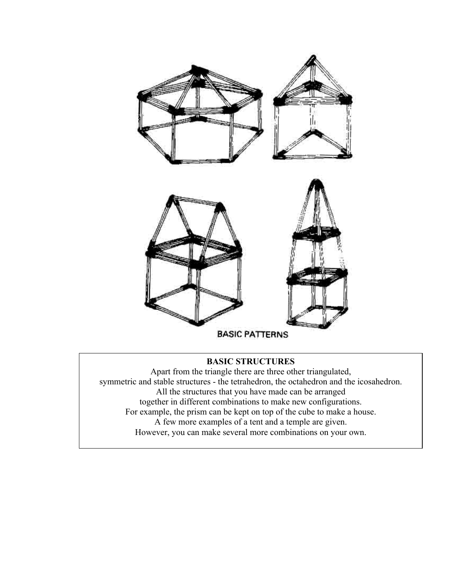

# **BASIC STRUCTURES**

Apart from the triangle there are three other triangulated, symmetric and stable structures - the tetrahedron, the octahedron and the icosahedron. All the structures that you have made can be arranged together in different combinations to make new configurations. For example, the prism can be kept on top of the cube to make a house. A few more examples of a tent and a temple are given. However, you can make several more combinations on your own.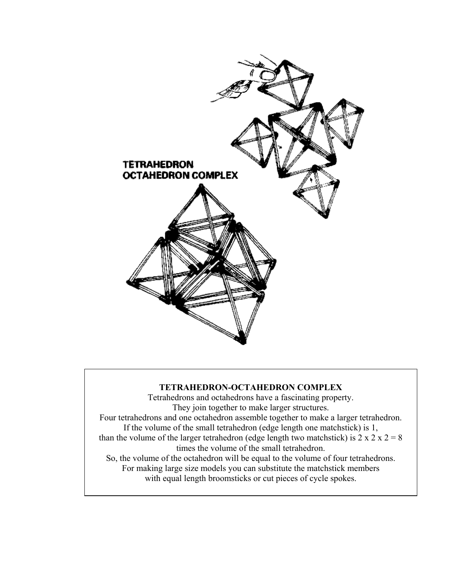

## **TETRAHEDRON-OCTAHEDRON COMPLEX**

Tetrahedrons and octahedrons have a fascinating property. They join together to make larger structures. Four tetrahedrons and one octahedron assemble together to make a larger tetrahedron. If the volume of the small tetrahedron (edge length one matchstick) is 1, than the volume of the larger tetrahedron (edge length two matchstick) is  $2 \times 2 \times 2 = 8$ times the volume of the small tetrahedron. So, the volume of the octahedron will be equal to the volume of four tetrahedrons. For making large size models you can substitute the matchstick members with equal length broomsticks or cut pieces of cycle spokes.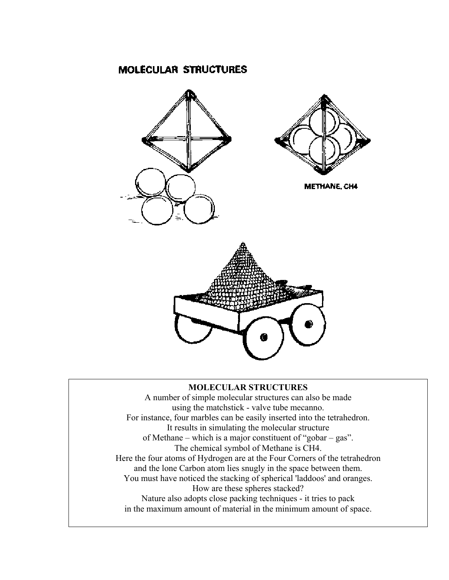# **MOLECULAR STRUCTURES**



### **MOLECULAR STRUCTURES**

A number of simple molecular structures can also be made using the matchstick - valve tube mecanno. For instance, four marbles can be easily inserted into the tetrahedron. It results in simulating the molecular structure of Methane – which is a major constituent of "gobar – gas". The chemical symbol of Methane is CH4. Here the four atoms of Hydrogen are at the Four Corners of the tetrahedron and the lone Carbon atom lies snugly in the space between them. You must have noticed the stacking of spherical 'laddoos' and oranges. How are these spheres stacked? Nature also adopts close packing techniques - it tries to pack in the maximum amount of material in the minimum amount of space.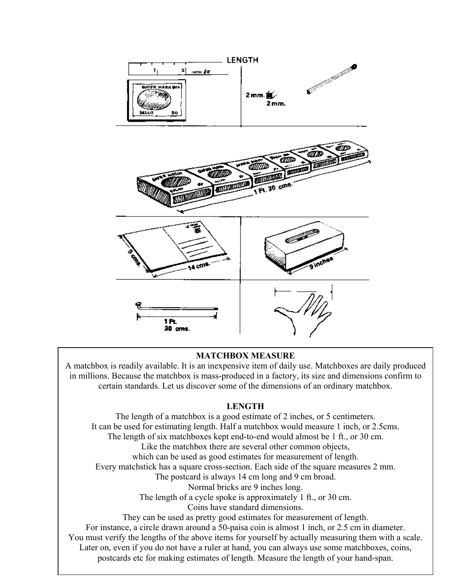

#### **MATCHBOX MEASURE**

A matchbox is readily available. It is an inexpensive item of daily use. Matchboxes are daily produced in millions. Because the matchbox is mass-produced in a factory, its size and dimensions confirm to certain standards. Let us discover some of the dimensions of an ordinary matchbox.

#### **LENGTH**

The length of a matchbox is a good estimate of 2 inches, or 5 centimeters. It can be used for estimating length. Half a matchbox would measure 1 inch, or 2.5cms. The length of six matchboxes kept end-to-end would almost be 1 ft., or 30 cm. Like the matchbox there are several other common objects, which can be used as good estimates for measurement of length. Every matchstick has a square cross-section. Each side of the square measures 2 mm. The postcard is always 14 cm long and 9 cm broad. Normal bricks are 9 inches long. The length of a cycle spoke is approximately 1 ft., or 30 cm. Coins have standard dimensions. They can be used as pretty good estimates for measurement of length. For instance, a circle drawn around a 50-paisa coin is almost 1 inch, or 2.5 cm in diameter. You must verify the lengths of the above items for yourself by actually measuring them with a scale. Later on, even if you do not have a ruler at hand, you can always use some matchboxes, coins, postcards etc for making estimates of length. Measure the length of your hand-span.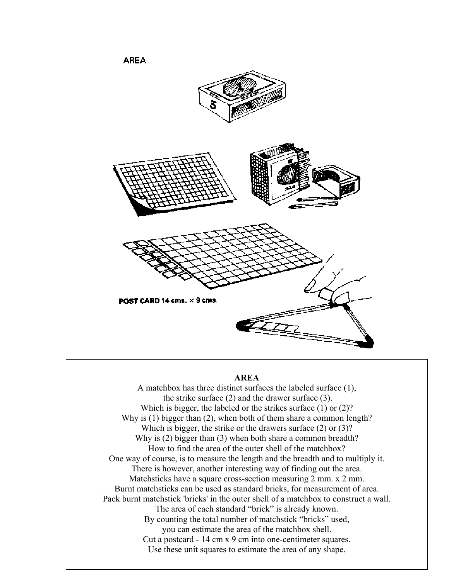

#### **AREA**

A matchbox has three distinct surfaces the labeled surface (1), the strike surface (2) and the drawer surface (3). Which is bigger, the labeled or the strikes surface (1) or (2)? Why is (1) bigger than (2), when both of them share a common length? Which is bigger, the strike or the drawers surface (2) or (3)? Why is (2) bigger than (3) when both share a common breadth? How to find the area of the outer shell of the matchbox? One way of course, is to measure the length and the breadth and to multiply it. There is however, another interesting way of finding out the area. Matchsticks have a square cross-section measuring 2 mm. x 2 mm. Burnt matchsticks can be used as standard bricks, for measurement of area. Pack burnt matchstick 'bricks' in the outer shell of a matchbox to construct a wall. The area of each standard "brick" is already known. By counting the total number of matchstick "bricks" used, you can estimate the area of the matchbox shell. Cut a postcard - 14 cm x 9 cm into one-centimeter squares. Use these unit squares to estimate the area of any shape.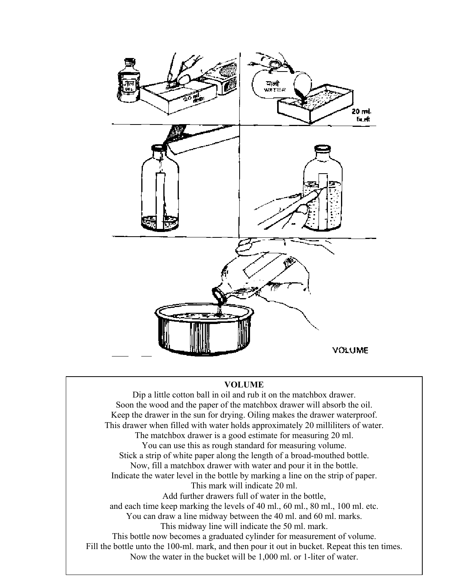

#### **VOLUME**

Dip a little cotton ball in oil and rub it on the matchbox drawer. Soon the wood and the paper of the matchbox drawer will absorb the oil. Keep the drawer in the sun for drying. Oiling makes the drawer waterproof. This drawer when filled with water holds approximately 20 milliliters of water. The matchbox drawer is a good estimate for measuring 20 ml. You can use this as rough standard for measuring volume. Stick a strip of white paper along the length of a broad-mouthed bottle. Now, fill a matchbox drawer with water and pour it in the bottle. Indicate the water level in the bottle by marking a line on the strip of paper. This mark will indicate 20 ml. Add further drawers full of water in the bottle, and each time keep marking the levels of 40 ml., 60 ml., 80 ml., 100 ml. etc. You can draw a line midway between the 40 ml. and 60 ml. marks. This midway line will indicate the 50 ml. mark. This bottle now becomes a graduated cylinder for measurement of volume. Fill the bottle unto the 100-ml. mark, and then pour it out in bucket. Repeat this ten times. Now the water in the bucket will be 1,000 ml. or 1-liter of water.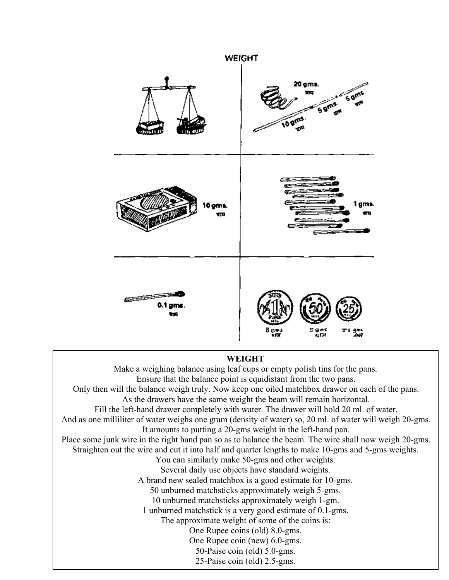

## **WEIGHT**

Make a weighing balance using leaf cups or empty polish tins for the pans. Ensure that the balance point is equidistant from the two pans. Only then will the balance weigh truly. Now keep one oiled matchbox drawer on each of the pans. As the drawers have the same weight the beam will remain horizontal. Fill the left-hand drawer completely with water. The drawer will hold 20 ml. of water. And as one milliliter of water weighs one gram (density of water) so, 20 ml. of water will weigh 20-gms. It amounts to putting a 20-gms weight in the left-hand pan. Place some junk wire in the right hand pan so as to balance the beam. The wire shall now weigh 20-gms. Straighten out the wire and cut it into half and quarter lengths to make 10-gms and 5-gms weights. You can similarly make 50-gms and other weights. Several daily use objects have standard weights. A brand new sealed matchbox is a good estimate for 10-gms. 50 unburned matchsticks approximately weigh 5-gms. 10 unburned matchsticks approximately weigh 1-gm. 1 unburned matchstick is a very good estimate of 0.1-gms. The approximate weight of some of the coins is: One Rupee coins (old) 8.0-gms. One Rupee coin (new) 6.0-gms. 50-Paise coin (old) 5.0-gms. 25-Paise coin (old) 2.5-gms.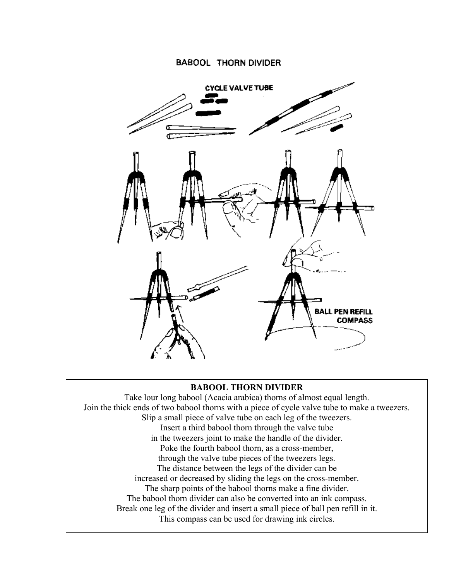### **BABOOL THORN DIVIDER**



#### **BABOOL THORN DIVIDER**

Take lour long babool (Acacia arabica) thorns of almost equal length. Join the thick ends of two babool thorns with a piece of cycle valve tube to make a tweezers. Slip a small piece of valve tube on each leg of the tweezers. Insert a third babool thorn through the valve tube in the tweezers joint to make the handle of the divider. Poke the fourth babool thorn, as a cross-member, through the valve tube pieces of the tweezers legs. The distance between the legs of the divider can be increased or decreased by sliding the legs on the cross-member. The sharp points of the babool thorns make a fine divider. The babool thorn divider can also be converted into an ink compass. Break one leg of the divider and insert a small piece of ball pen refill in it. This compass can be used for drawing ink circles.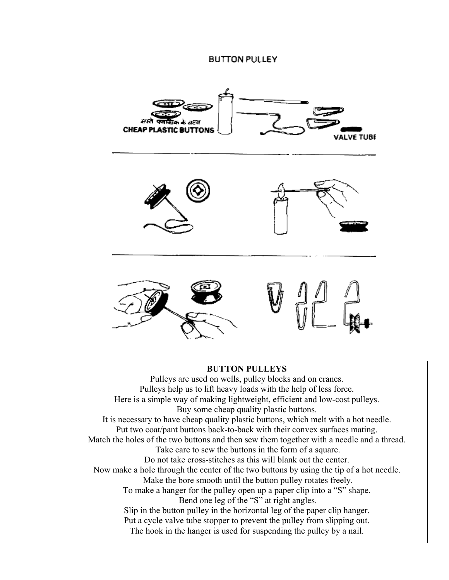#### **BUTTON PULLEY**



#### **BUTTON PULLEYS**

Pulleys are used on wells, pulley blocks and on cranes. Pulleys help us to lift heavy loads with the help of less force. Here is a simple way of making lightweight, efficient and low-cost pulleys. Buy some cheap quality plastic buttons. It is necessary to have cheap quality plastic buttons, which melt with a hot needle. Put two coat/pant buttons back-to-back with their convex surfaces mating. Match the holes of the two buttons and then sew them together with a needle and a thread. Take care to sew the buttons in the form of a square. Do not take cross-stitches as this will blank out the center. Now make a hole through the center of the two buttons by using the tip of a hot needle. Make the bore smooth until the button pulley rotates freely. To make a hanger for the pulley open up a paper clip into a "S" shape. Bend one leg of the "S" at right angles. Slip in the button pulley in the horizontal leg of the paper clip hanger. Put a cycle valve tube stopper to prevent the pulley from slipping out. The hook in the hanger is used for suspending the pulley by a nail.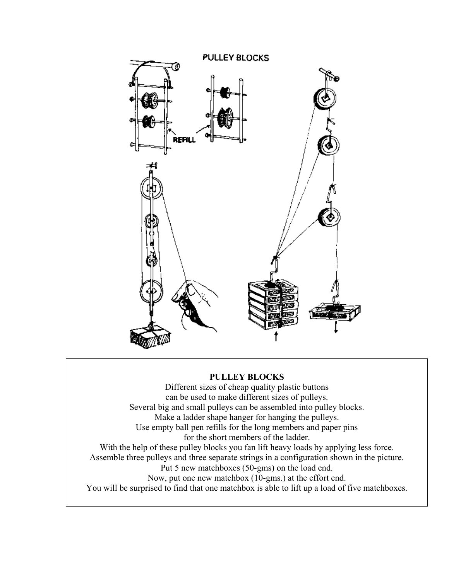

## **PULLEY BLOCKS**

Different sizes of cheap quality plastic buttons can be used to make different sizes of pulleys. Several big and small pulleys can be assembled into pulley blocks. Make a ladder shape hanger for hanging the pulleys. Use empty ball pen refills for the long members and paper pins for the short members of the ladder. With the help of these pulley blocks you fan lift heavy loads by applying less force. Assemble three pulleys and three separate strings in a configuration shown in the picture. Put 5 new matchboxes (50-gms) on the load end. Now, put one new matchbox (10-gms.) at the effort end. You will be surprised to find that one matchbox is able to lift up a load of five matchboxes.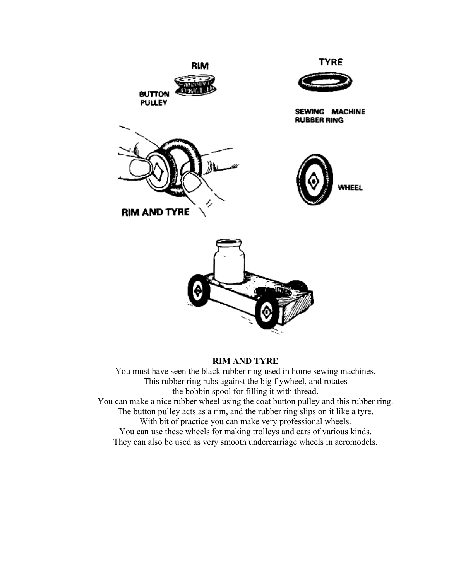

#### **RIM AND TYRE**

You must have seen the black rubber ring used in home sewing machines. This rubber ring rubs against the big flywheel, and rotates the bobbin spool for filling it with thread. You can make a nice rubber wheel using the coat button pulley and this rubber ring. The button pulley acts as a rim, and the rubber ring slips on it like a tyre. With bit of practice you can make very professional wheels. You can use these wheels for making trolleys and cars of various kinds. They can also be used as very smooth undercarriage wheels in aeromodels.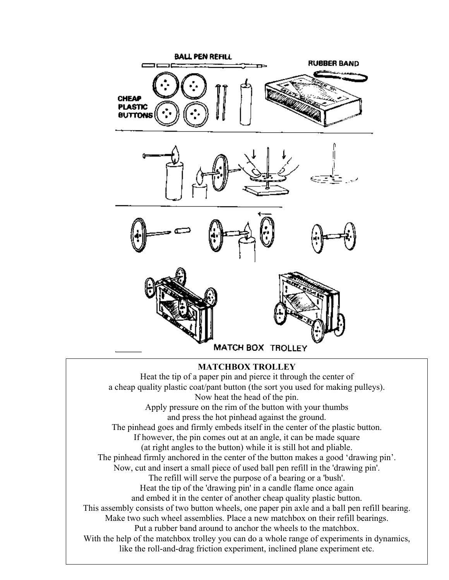

Heat the tip of a paper pin and pierce it through the center of a cheap quality plastic coat/pant button (the sort you used for making pulleys). Now heat the head of the pin. Apply pressure on the rim of the button with your thumbs and press the hot pinhead against the ground. The pinhead goes and firmly embeds itself in the center of the plastic button. If however, the pin comes out at an angle, it can be made square (at right angles to the button) while it is still hot and pliable. The pinhead firmly anchored in the center of the button makes a good 'drawing pin'. Now, cut and insert a small piece of used ball pen refill in the 'drawing pin'. The refill will serve the purpose of a bearing or a 'bush'. Heat the tip of the 'drawing pin' in a candle flame once again and embed it in the center of another cheap quality plastic button. This assembly consists of two button wheels, one paper pin axle and a ball pen refill bearing. Make two such wheel assemblies. Place a new matchbox on their refill bearings. Put a rubber band around to anchor the wheels to the matchbox. With the help of the matchbox trolley you can do a whole range of experiments in dynamics, like the roll-and-drag friction experiment, inclined plane experiment etc.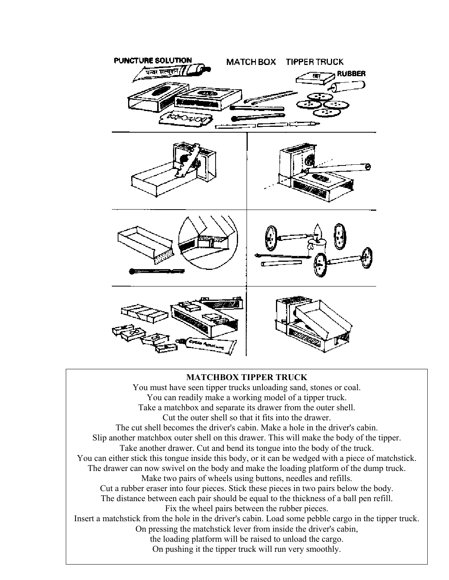

#### **MATCHBOX TIPPER TRUCK**

You must have seen tipper trucks unloading sand, stones or coal. You can readily make a working model of a tipper truck. Take a matchbox and separate its drawer from the outer shell. Cut the outer shell so that it fits into the drawer. The cut shell becomes the driver's cabin. Make a hole in the driver's cabin. Slip another matchbox outer shell on this drawer. This will make the body of the tipper. Take another drawer. Cut and bend its tongue into the body of the truck. You can either stick this tongue inside this body, or it can be wedged with a piece of matchstick. The drawer can now swivel on the body and make the loading platform of the dump truck. Make two pairs of wheels using buttons, needles and refills. Cut a rubber eraser into four pieces. Stick these pieces in two pairs below the body. The distance between each pair should be equal to the thickness of a ball pen refill. Fix the wheel pairs between the rubber pieces. Insert a matchstick from the hole in the driver's cabin. Load some pebble cargo in the tipper truck. On pressing the matchstick lever from inside the driver's cabin, the loading platform will be raised to unload the cargo. On pushing it the tipper truck will run very smoothly.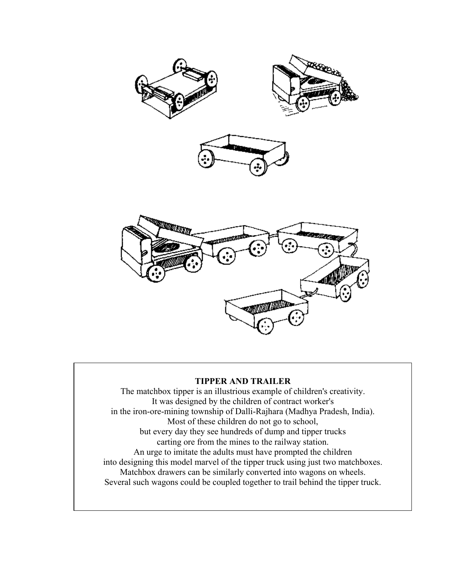

#### **TIPPER AND TRAILER**

The matchbox tipper is an illustrious example of children's creativity. It was designed by the children of contract worker's in the iron-ore-mining township of Dalli-Rajhara (Madhya Pradesh, India). Most of these children do not go to school, but every day they see hundreds of dump and tipper trucks carting ore from the mines to the railway station. An urge to imitate the adults must have prompted the children into designing this model marvel of the tipper truck using just two matchboxes. Matchbox drawers can be similarly converted into wagons on wheels. Several such wagons could be coupled together to trail behind the tipper truck.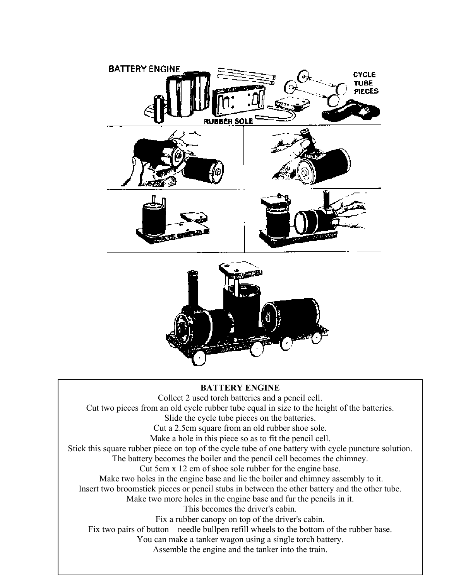

# **BATTERY ENGINE**

Collect 2 used torch batteries and a pencil cell. Cut two pieces from an old cycle rubber tube equal in size to the height of the batteries. Slide the cycle tube pieces on the batteries. Cut a 2.5cm square from an old rubber shoe sole. Make a hole in this piece so as to fit the pencil cell. Stick this square rubber piece on top of the cycle tube of one battery with cycle puncture solution. The battery becomes the boiler and the pencil cell becomes the chimney. Cut 5cm x 12 cm of shoe sole rubber for the engine base. Make two holes in the engine base and lie the boiler and chimney assembly to it. Insert two broomstick pieces or pencil stubs in between the other battery and the other tube. Make two more holes in the engine base and fur the pencils in it. This becomes the driver's cabin. Fix a rubber canopy on top of the driver's cabin. Fix two pairs of button – needle bullpen refill wheels to the bottom of the rubber base. You can make a tanker wagon using a single torch battery. Assemble the engine and the tanker into the train.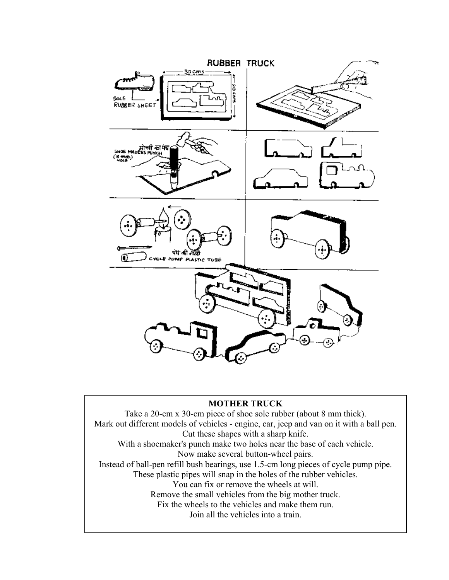

#### **MOTHER TRUCK**

Take a 20-cm x 30-cm piece of shoe sole rubber (about 8 mm thick). Mark out different models of vehicles - engine, car, jeep and van on it with a ball pen. Cut these shapes with a sharp knife. With a shoemaker's punch make two holes near the base of each vehicle. Now make several button-wheel pairs. Instead of ball-pen refill bush bearings, use 1.5-cm long pieces of cycle pump pipe. These plastic pipes will snap in the holes of the rubber vehicles. You can fix or remove the wheels at will. Remove the small vehicles from the big mother truck. Fix the wheels to the vehicles and make them run. Join all the vehicles into a train.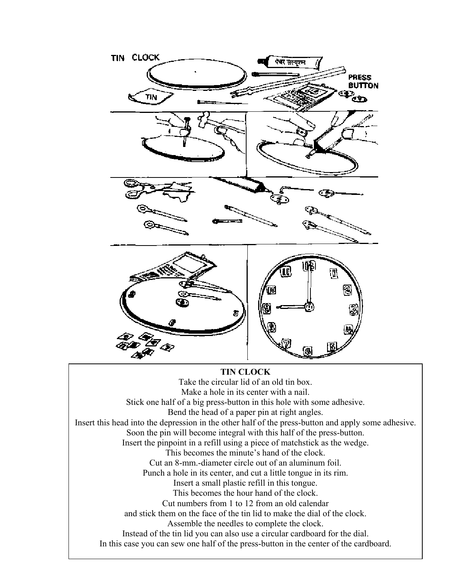

Insert this head into the depression in the other half of the press-button and apply some adhesive. This becomes the minute's hand of the clock. Cut an 8-mm.-diameter circle out of an aluminum foil. Punch a hole in its center, and cut a little tongue in its rim. Insert a small plastic refill in this tongue. This becomes the hour hand of the clock. Cut numbers from 1 to 12 from an old calendar and stick them on the face of the tin lid to make the dial of the clock. Assemble the needles to complete the clock. Instead of the tin lid you can also use a circular cardboard for the dial. In this case you can sew one half of the press-button in the center of the cardboard.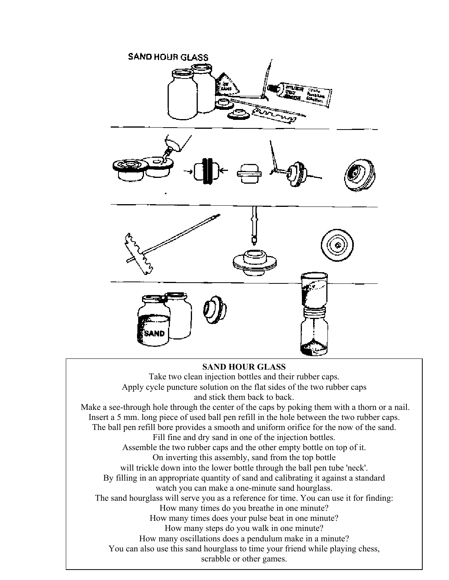

#### **SAND HOUR GLASS**

Take two clean injection bottles and their rubber caps. Apply cycle puncture solution on the flat sides of the two rubber caps and stick them back to back. Make a see-through hole through the center of the caps by poking them with a thorn or a nail. Insert a 5 mm. long piece of used ball pen refill in the hole between the two rubber caps. The ball pen refill bore provides a smooth and uniform orifice for the now of the sand. Fill fine and dry sand in one of the injection bottles. Assemble the two rubber caps and the other empty bottle on top of it. On inverting this assembly, sand from the top bottle will trickle down into the lower bottle through the ball pen tube 'neck'. By filling in an appropriate quantity of sand and calibrating it against a standard watch you can make a one-minute sand hourglass. The sand hourglass will serve you as a reference for time. You can use it for finding: How many times do you breathe in one minute? How many times does your pulse beat in one minute? How many steps do you walk in one minute? How many oscillations does a pendulum make in a minute? You can also use this sand hourglass to time your friend while playing chess, scrabble or other games.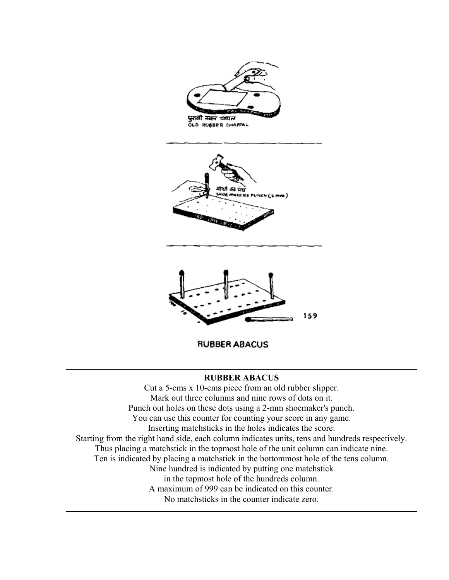

## **RUBBER ABACUS**

Cut a 5-cms x 10-cms piece from an old rubber slipper. Mark out three columns and nine rows of dots on it. Punch out holes on these dots using a 2-mm shoemaker's punch. You can use this counter for counting your score in any game. Inserting matchsticks in the holes indicates the score. Starting from the right hand side, each column indicates units, tens and hundreds respectively. Thus placing a matchstick in the topmost hole of the unit column can indicate nine. Ten is indicated by placing a matchstick in the bottommost hole of the tens column. Nine hundred is indicated by putting one matchstick in the topmost hole of the hundreds column. A maximum of 999 can be indicated on this counter. No matchsticks in the counter indicate zero.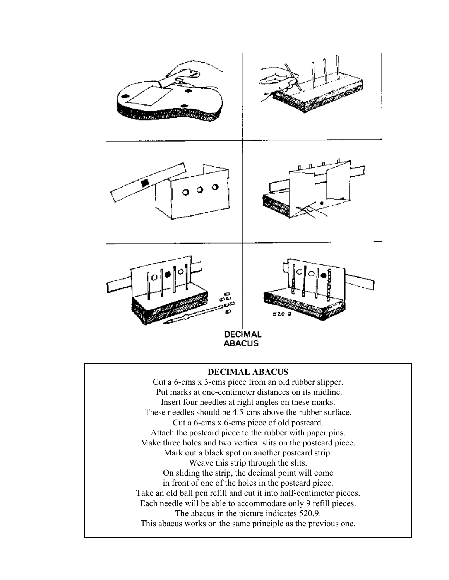

### **DECIMAL ABACUS**

Cut a 6-cms x 3-cms piece from an old rubber slipper. Put marks at one-centimeter distances on its midline. Insert four needles at right angles on these marks. These needles should be 4.5-cms above the rubber surface. Cut a 6-cms x 6-cms piece of old postcard. Attach the postcard piece to the rubber with paper pins. Make three holes and two vertical slits on the postcard piece. Mark out a black spot on another postcard strip. Weave this strip through the slits. On sliding the strip, the decimal point will come in front of one of the holes in the postcard piece. Take an old ball pen refill and cut it into half-centimeter pieces. Each needle will be able to accommodate only 9 refill pieces. The abacus in the picture indicates 520.9. This abacus works on the same principle as the previous one.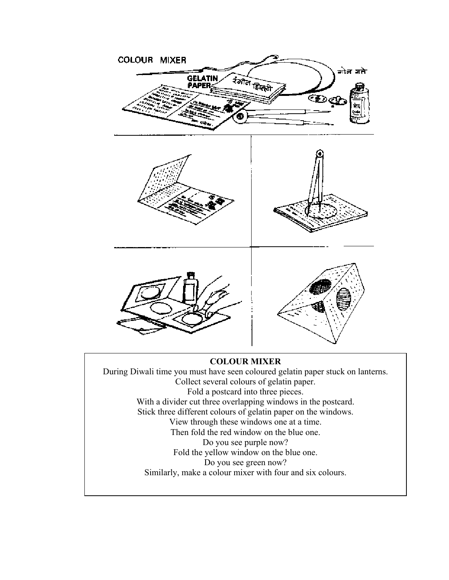

Collect several colours of gelatin paper. Fold a postcard into three pieces. With a divider cut three overlapping windows in the postcard. Stick three different colours of gelatin paper on the windows. View through these windows one at a time. Then fold the red window on the blue one. Do you see purple now? Fold the yellow window on the blue one. Do you see green now? Similarly, make a colour mixer with four and six colours.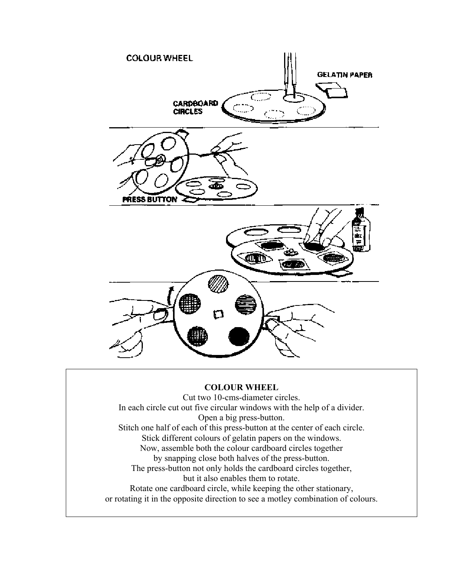

#### **COLOUR WHEEL**

Cut two 10-cms-diameter circles. In each circle cut out five circular windows with the help of a divider. Open a big press-button. Stitch one half of each of this press-button at the center of each circle. Stick different colours of gelatin papers on the windows. Now, assemble both the colour cardboard circles together by snapping close both halves of the press-button. The press-button not only holds the cardboard circles together, but it also enables them to rotate. Rotate one cardboard circle, while keeping the other stationary, or rotating it in the opposite direction to see a motley combination of colours.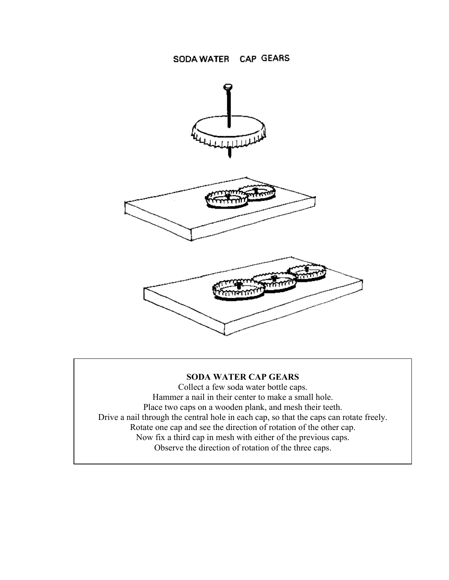

## **SODA WATER CAP GEARS**

Collect a few soda water bottle caps. Hammer a nail in their center to make a small hole. Place two caps on a wooden plank, and mesh their teeth. Drive a nail through the central hole in each cap, so that the caps can rotate freely. Rotate one cap and see the direction of rotation of the other cap. Now fix a third cap in mesh with either of the previous caps. Observe the direction of rotation of the three caps.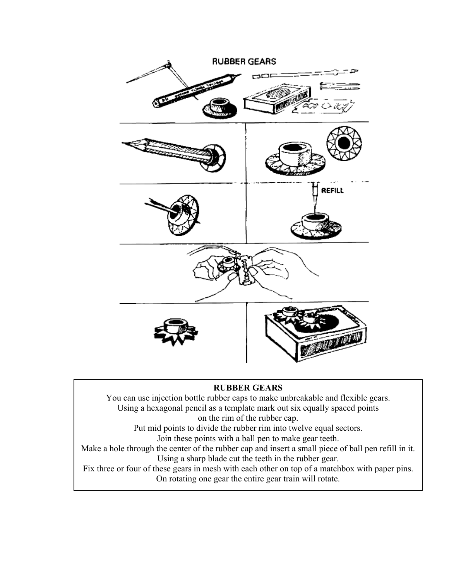

## **RUBBER GEARS**

You can use injection bottle rubber caps to make unbreakable and flexible gears. Using a hexagonal pencil as a template mark out six equally spaced points on the rim of the rubber cap.

Put mid points to divide the rubber rim into twelve equal sectors. Join these points with a ball pen to make gear teeth.

Make a hole through the center of the rubber cap and insert a small piece of ball pen refill in it. Using a sharp blade cut the teeth in the rubber gear.

Fix three or four of these gears in mesh with each other on top of a matchbox with paper pins. On rotating one gear the entire gear train will rotate.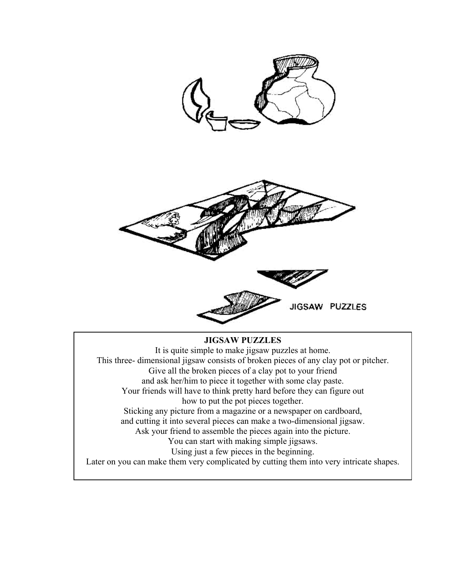

## **JIGSAW PUZZLES**

It is quite simple to make jigsaw puzzles at home. This three- dimensional jigsaw consists of broken pieces of any clay pot or pitcher. Give all the broken pieces of a clay pot to your friend and ask her/him to piece it together with some clay paste. Your friends will have to think pretty hard before they can figure out how to put the pot pieces together. Sticking any picture from a magazine or a newspaper on cardboard, and cutting it into several pieces can make a two-dimensional jigsaw. Ask your friend to assemble the pieces again into the picture. You can start with making simple jigsaws. Using just a few pieces in the beginning. Later on you can make them very complicated by cutting them into very intricate shapes.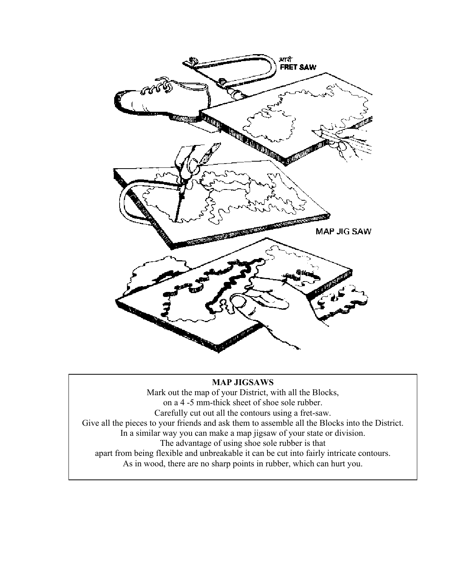

#### **MAP JIGSAWS**

Mark out the map of your District, with all the Blocks, on a 4 -5 mm-thick sheet of shoe sole rubber. Carefully cut out all the contours using a fret-saw. Give all the pieces to your friends and ask them to assemble all the Blocks into the District. In a similar way you can make a map jigsaw of your state or division. The advantage of using shoe sole rubber is that apart from being flexible and unbreakable it can be cut into fairly intricate contours. As in wood, there are no sharp points in rubber, which can hurt you.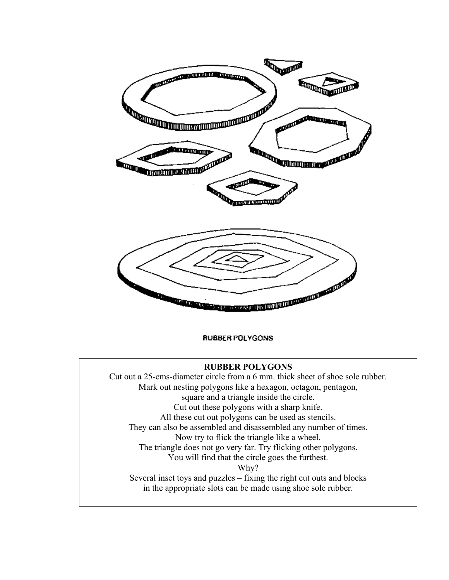

RUBBER POLYGONS

#### **RUBBER POLYGONS**

Cut out a 25-cms-diameter circle from a 6 mm. thick sheet of shoe sole rubber. Mark out nesting polygons like a hexagon, octagon, pentagon, square and a triangle inside the circle. Cut out these polygons with a sharp knife. All these cut out polygons can be used as stencils. They can also be assembled and disassembled any number of times. Now try to flick the triangle like a wheel. The triangle does not go very far. Try flicking other polygons. You will find that the circle goes the furthest. Why? Several inset toys and puzzles – fixing the right cut outs and blocks in the appropriate slots can be made using shoe sole rubber.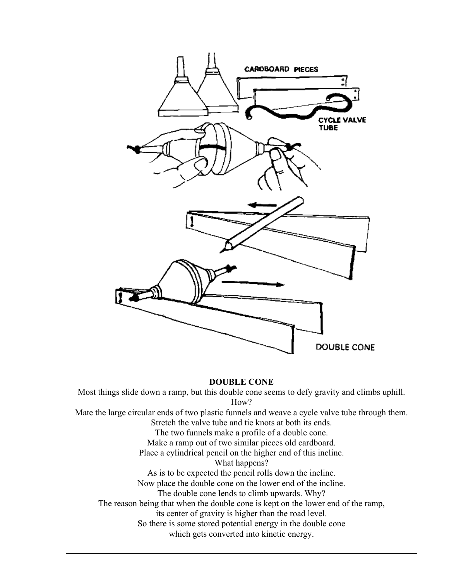

#### **DOUBLE CONE**

Most things slide down a ramp, but this double cone seems to defy gravity and climbs uphill. How? Mate the large circular ends of two plastic funnels and weave a cycle valve tube through them.

Stretch the valve tube and tie knots at both its ends.

The two funnels make a profile of a double cone.

Make a ramp out of two similar pieces old cardboard.

Place a cylindrical pencil on the higher end of this incline.

What happens?

As is to be expected the pencil rolls down the incline.

Now place the double cone on the lower end of the incline.

The double cone lends to climb upwards. Why?

The reason being that when the double cone is kept on the lower end of the ramp,

its center of gravity is higher than the road level.

So there is some stored potential energy in the double cone

which gets converted into kinetic energy.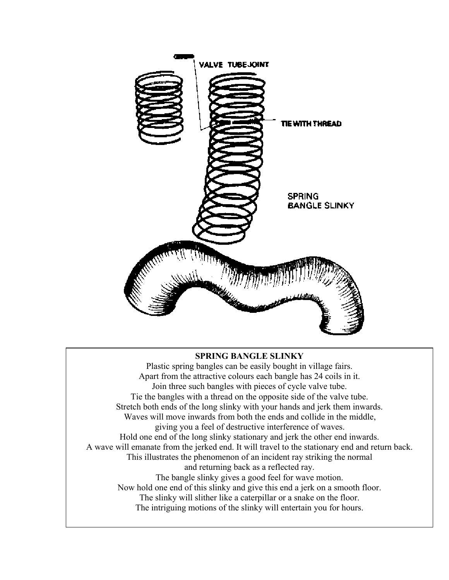

## **SPRING BANGLE SLINKY**

Plastic spring bangles can be easily bought in village fairs. Apart from the attractive colours each bangle has 24 coils in it. Join three such bangles with pieces of cycle valve tube. Tie the bangles with a thread on the opposite side of the valve tube. Stretch both ends of the long slinky with your hands and jerk them inwards. Waves will move inwards from both the ends and collide in the middle, giving you a feel of destructive interference of waves. Hold one end of the long slinky stationary and jerk the other end inwards. A wave will emanate from the jerked end. It will travel to the stationary end and return back. This illustrates the phenomenon of an incident ray striking the normal and returning back as a reflected ray. The bangle slinky gives a good feel for wave motion. Now hold one end of this slinky and give this end a jerk on a smooth floor. The slinky will slither like a caterpillar or a snake on the floor. The intriguing motions of the slinky will entertain you for hours.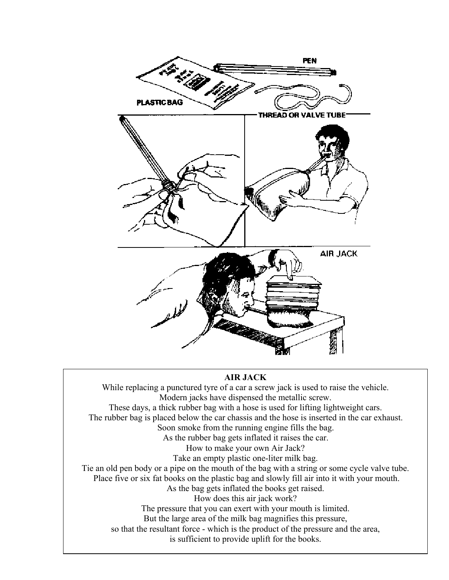

#### **AIR JACK**

While replacing a punctured tyre of a car a screw jack is used to raise the vehicle. Modern jacks have dispensed the metallic screw. These days, a thick rubber bag with a hose is used for lifting lightweight cars. The rubber bag is placed below the car chassis and the hose is inserted in the car exhaust. Soon smoke from the running engine fills the bag. As the rubber bag gets inflated it raises the car. How to make your own Air Jack? Take an empty plastic one-liter milk bag. Tie an old pen body or a pipe on the mouth of the bag with a string or some cycle valve tube. Place five or six fat books on the plastic bag and slowly fill air into it with your mouth. As the bag gets inflated the books get raised. How does this air jack work? The pressure that you can exert with your mouth is limited. But the large area of the milk bag magnifies this pressure, so that the resultant force - which is the product of the pressure and the area, is sufficient to provide uplift for the books.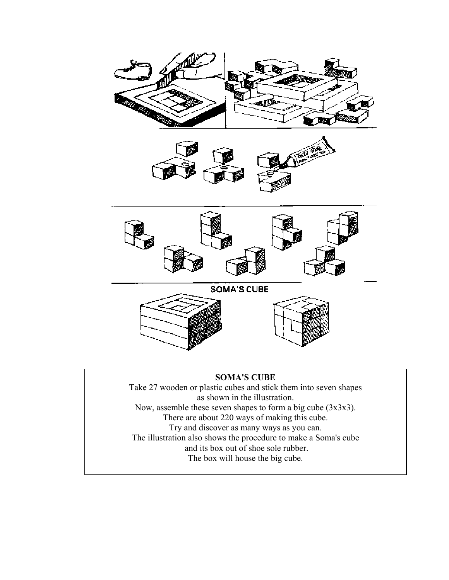

There are about 220 ways of making this cube.

Try and discover as many ways as you can.

The illustration also shows the procedure to make a Soma's cube

and its box out of shoe sole rubber.

The box will house the big cube.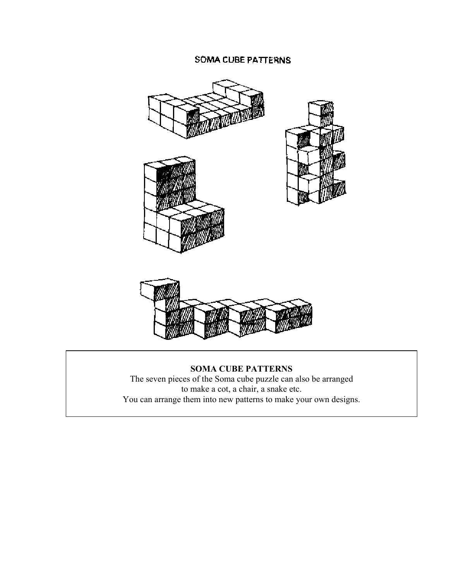# SOMA CUBE PATTERNS



**SOMA CUBE PATTERNS** The seven pieces of the Soma cube puzzle can also be arranged to make a cot, a chair, a snake etc. You can arrange them into new patterns to make your own designs.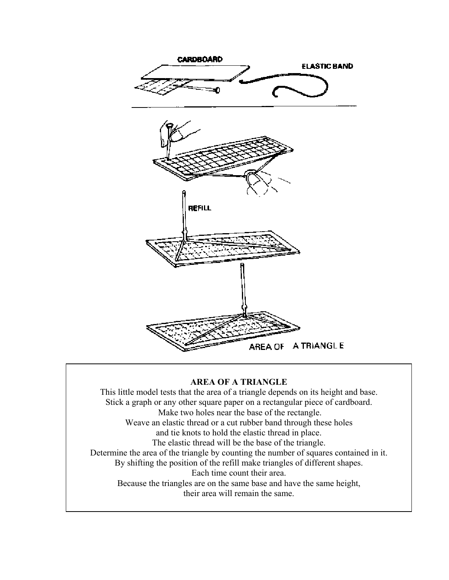

## **AREA OF A TRIANGLE**

This little model tests that the area of a triangle depends on its height and base. Stick a graph or any other square paper on a rectangular piece of cardboard. Make two holes near the base of the rectangle. Weave an elastic thread or a cut rubber band through these holes and tie knots to hold the elastic thread in place. The elastic thread will be the base of the triangle. Determine the area of the triangle by counting the number of squares contained in it. By shifting the position of the refill make triangles of different shapes. Each time count their area. Because the triangles are on the same base and have the same height, their area will remain the same.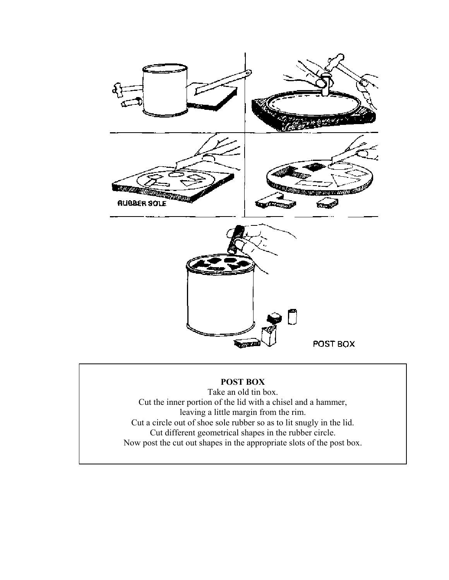

# **POST BOX**

Take an old tin box. Cut the inner portion of the lid with a chisel and a hammer, leaving a little margin from the rim. Cut a circle out of shoe sole rubber so as to lit snugly in the lid. Cut different geometrical shapes in the rubber circle. Now post the cut out shapes in the appropriate slots of the post box.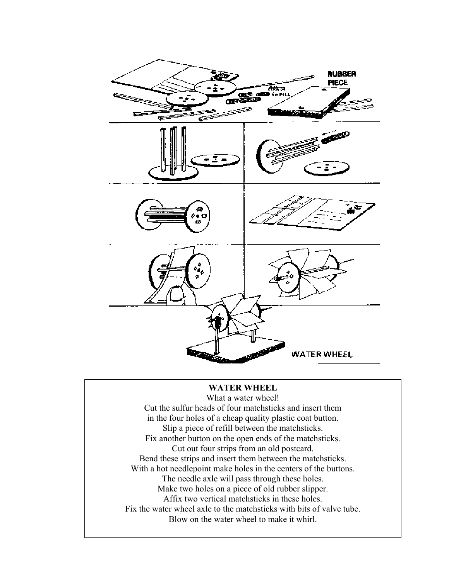

## **WATER WHEEL**

What a water wheel! Cut the sulfur heads of four matchsticks and insert them in the four holes of a cheap quality plastic coat button. Slip a piece of refill between the matchsticks. Fix another button on the open ends of the matchsticks. Cut out four strips from an old postcard. Bend these strips and insert them between the matchsticks. With a hot needlepoint make holes in the centers of the buttons. The needle axle will pass through these holes. Make two holes on a piece of old rubber slipper. Affix two vertical matchsticks in these holes. Fix the water wheel axle to the matchsticks with bits of valve tube. Blow on the water wheel to make it whirl.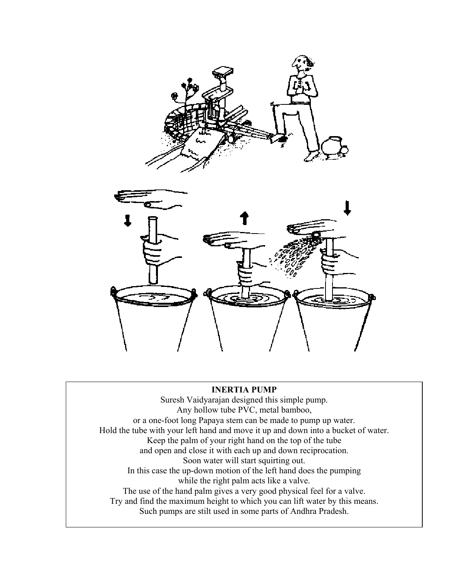



#### **INERTIA PUMP**

Suresh Vaidyarajan designed this simple pump. Any hollow tube PVC, metal bamboo, or a one-foot long Papaya stem can be made to pump up water. Hold the tube with your left hand and move it up and down into a bucket of water. Keep the palm of your right hand on the top of the tube and open and close it with each up and down reciprocation. Soon water will start squirting out. In this case the up-down motion of the left hand does the pumping while the right palm acts like a valve. The use of the hand palm gives a very good physical feel for a valve. Try and find the maximum height to which you can lift water by this means. Such pumps are stilt used in some parts of Andhra Pradesh.